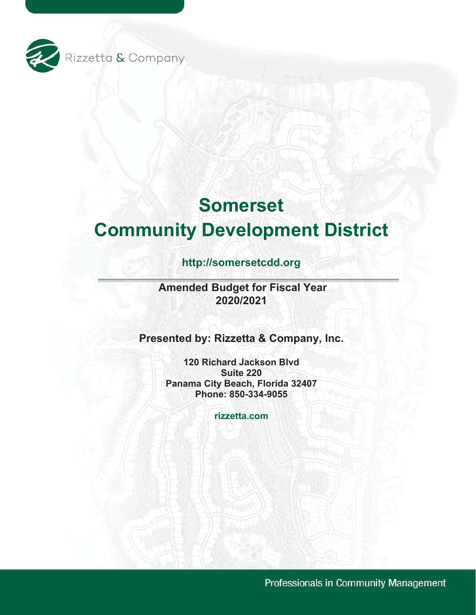

# **Somerset Community Development District**

# **<http://somersetcdd.org>**

**Amended Budget for Fiscal Year 2020/2021**

**Presented by: Rizzetta & Company, Inc.** 

 **120 Richard Jackson Blvd Panama City Beach, Florida 32407 Suite 220 Phone: 850-334-9055**

**[rizzetta.com](https://rizzetta.com)**

Professionals in Community Management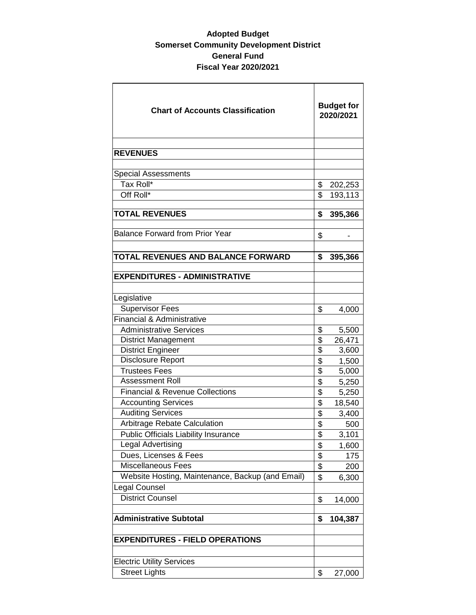### **Adopted Budget Somerset Community Development District General Fund Fiscal Year 2020/2021**

| <b>Chart of Accounts Classification</b>          |                         | <b>Budget for</b><br>2020/2021 |  |  |
|--------------------------------------------------|-------------------------|--------------------------------|--|--|
| <b>REVENUES</b>                                  |                         |                                |  |  |
|                                                  |                         |                                |  |  |
| <b>Special Assessments</b>                       |                         |                                |  |  |
| Tax Roll*                                        | \$                      | 202,253                        |  |  |
| Off Roll*                                        | \$                      | 193,113                        |  |  |
| <b>TOTAL REVENUES</b>                            | \$                      | 395,366                        |  |  |
| <b>Balance Forward from Prior Year</b>           | \$                      |                                |  |  |
| TOTAL REVENUES AND BALANCE FORWARD               | \$                      | 395,366                        |  |  |
| <b>EXPENDITURES - ADMINISTRATIVE</b>             |                         |                                |  |  |
| Legislative                                      |                         |                                |  |  |
| <b>Supervisor Fees</b>                           | \$                      | 4,000                          |  |  |
| Financial & Administrative                       |                         |                                |  |  |
| <b>Administrative Services</b>                   | \$                      | 5,500                          |  |  |
| <b>District Management</b>                       | \$                      | 26,471                         |  |  |
| <b>District Engineer</b>                         | \$                      | 3,600                          |  |  |
| Disclosure Report                                | \$                      | 1,500                          |  |  |
| <b>Trustees Fees</b>                             | \$                      | 5,000                          |  |  |
| <b>Assessment Roll</b>                           | \$                      | 5,250                          |  |  |
| <b>Financial &amp; Revenue Collections</b>       | \$                      | 5,250                          |  |  |
| <b>Accounting Services</b>                       | \$                      | 18,540                         |  |  |
| <b>Auditing Services</b>                         | \$                      | 3,400                          |  |  |
| Arbitrage Rebate Calculation                     | \$                      | 500                            |  |  |
| <b>Public Officials Liability Insurance</b>      | $\overline{\mathbb{S}}$ | 3,101                          |  |  |
| <b>Legal Advertising</b>                         | \$                      | 1,600                          |  |  |
| Dues, Licenses & Fees                            | \$                      | 175                            |  |  |
| Miscellaneous Fees                               | \$                      | 200                            |  |  |
| Website Hosting, Maintenance, Backup (and Email) | \$                      | 6,300                          |  |  |
| <b>Legal Counsel</b>                             |                         |                                |  |  |
| <b>District Counsel</b>                          | \$                      | 14,000                         |  |  |
| <b>Administrative Subtotal</b>                   | \$                      | 104,387                        |  |  |
| <b>EXPENDITURES - FIELD OPERATIONS</b>           |                         |                                |  |  |
| <b>Electric Utility Services</b>                 |                         |                                |  |  |
| <b>Street Lights</b>                             | \$                      | 27,000                         |  |  |
|                                                  |                         |                                |  |  |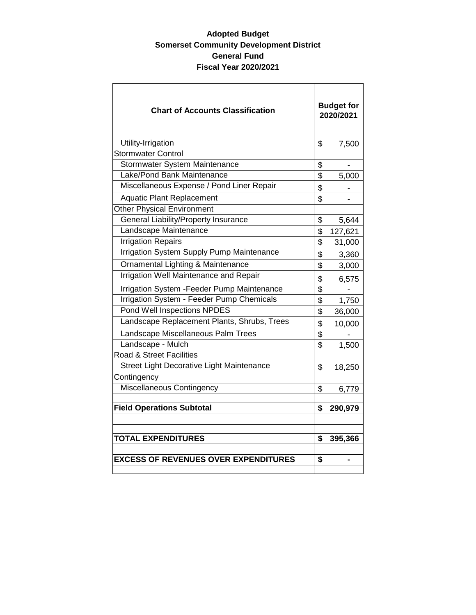### **Adopted Budget Somerset Community Development District General Fund Fiscal Year 2020/2021**

| <b>Chart of Accounts Classification</b>     | <b>Budget for</b><br>2020/2021 |         |
|---------------------------------------------|--------------------------------|---------|
| Utility-Irrigation                          | \$                             | 7,500   |
| <b>Stormwater Control</b>                   |                                |         |
| Stormwater System Maintenance               | \$                             |         |
| Lake/Pond Bank Maintenance                  | \$                             | 5,000   |
| Miscellaneous Expense / Pond Liner Repair   | \$                             |         |
| <b>Aquatic Plant Replacement</b>            | \$                             |         |
| <b>Other Physical Environment</b>           |                                |         |
| General Liability/Property Insurance        | \$                             | 5,644   |
| Landscape Maintenance                       | \$                             | 127,621 |
| <b>Irrigation Repairs</b>                   | \$                             | 31,000  |
| Irrigation System Supply Pump Maintenance   | \$                             | 3,360   |
| Ornamental Lighting & Maintenance           | \$                             | 3,000   |
| Irrigation Well Maintenance and Repair      | \$                             | 6,575   |
| Irrigation System - Feeder Pump Maintenance | \$                             |         |
| Irrigation System - Feeder Pump Chemicals   | \$                             | 1,750   |
| Pond Well Inspections NPDES                 | \$                             | 36,000  |
| Landscape Replacement Plants, Shrubs, Trees | \$                             | 10,000  |
| Landscape Miscellaneous Palm Trees          | \$                             |         |
| Landscape - Mulch                           | \$                             | 1,500   |
| <b>Road &amp; Street Facilities</b>         |                                |         |
| Street Light Decorative Light Maintenance   | \$                             | 18,250  |
| Contingency                                 |                                |         |
| Miscellaneous Contingency                   | \$                             | 6,779   |
| <b>Field Operations Subtotal</b>            | \$                             | 290,979 |
|                                             |                                |         |
|                                             |                                |         |
| <b>TOTAL EXPENDITURES</b>                   | \$                             | 395,366 |
|                                             |                                |         |
| <b>EXCESS OF REVENUES OVER EXPENDITURES</b> | \$                             |         |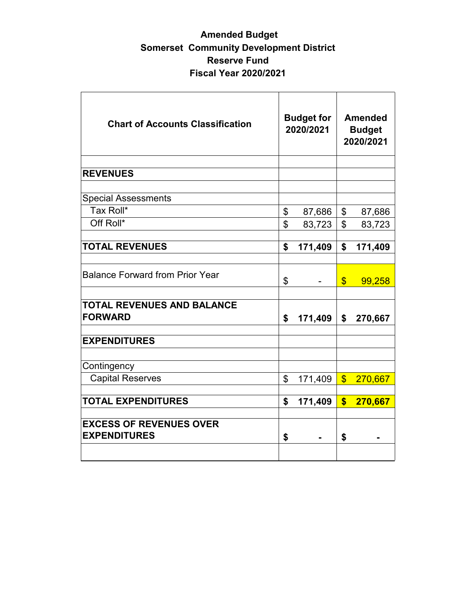## **Amended Budget Somerset Community Development District Reserve Fund Fiscal Year 2020/2021**

| <b>Chart of Accounts Classification</b>               | <b>Budget for</b><br>2020/2021 |         | <b>Amended</b><br><b>Budget</b><br>2020/2021 |           |
|-------------------------------------------------------|--------------------------------|---------|----------------------------------------------|-----------|
| <b>REVENUES</b>                                       |                                |         |                                              |           |
|                                                       |                                |         |                                              |           |
| <b>Special Assessments</b>                            |                                |         |                                              |           |
| Tax Roll*                                             | \$                             | 87,686  | \$                                           | 87,686    |
| Off Roll*                                             | \$                             | 83,723  | \$                                           | 83,723    |
|                                                       |                                |         |                                              |           |
| <b>TOTAL REVENUES</b>                                 | \$                             | 171,409 | \$                                           | 171,409   |
| <b>Balance Forward from Prior Year</b>                | \$                             |         | $\boldsymbol{\mathsf{S}}$                    | 99,258    |
| <b>TOTAL REVENUES AND BALANCE</b><br><b>FORWARD</b>   | \$                             | 171,409 | \$                                           | 270,667   |
| <b>EXPENDITURES</b>                                   |                                |         |                                              |           |
| Contingency                                           |                                |         |                                              |           |
| <b>Capital Reserves</b>                               | \$                             | 171,409 |                                              | \$270,667 |
| <b>TOTAL EXPENDITURES</b>                             | \$                             | 171,409 | $\overline{\mathbf{s}}$                      | 270,667   |
| <b>EXCESS OF REVENUES OVER</b><br><b>EXPENDITURES</b> | \$                             |         | \$                                           |           |